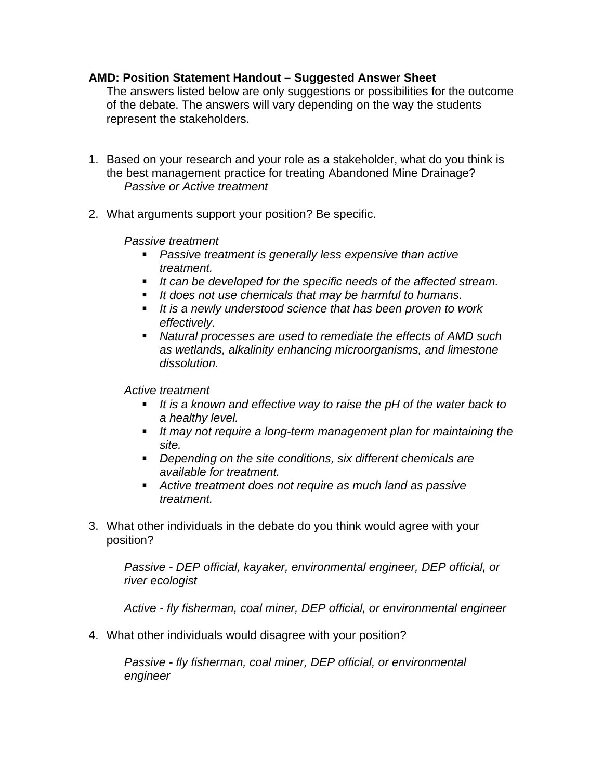## **AMD: Position Statement Handout – Suggested Answer Sheet**

The answers listed below are only suggestions or possibilities for the outcome of the debate. The answers will vary depending on the way the students represent the stakeholders.

- 1. Based on your research and your role as a stakeholder, what do you think is the best management practice for treating Abandoned Mine Drainage? *Passive or Active treatment*
- 2. What arguments support your position? Be specific.

*Passive treatment*

- **Passive treatment is generally less expensive than active** *treatment.*
- **If can be developed for the specific needs of the affected stream.**
- **If does not use chemicals that may be harmful to humans.**
- **If is a newly understood science that has been proven to work** *effectively.*
- ß *Natural processes are used to remediate the effects of AMD such as wetlands, alkalinity enhancing microorganisms, and limestone dissolution.*

*Active treatment*

- It is a known and effective way to raise the pH of the water back to *a healthy level.*
- **If may not require a long-term management plan for maintaining the** *site.*
- **•** Depending on the site conditions, six different chemicals are *available for treatment.*
- ß *Active treatment does not require as much land as passive treatment.*
- 3. What other individuals in the debate do you think would agree with your position?

*Passive - DEP official, kayaker, environmental engineer, DEP official, or river ecologist*

*Active - fly fisherman, coal miner, DEP official, or environmental engineer*

4. What other individuals would disagree with your position?

*Passive - fly fisherman, coal miner, DEP official, or environmental engineer*